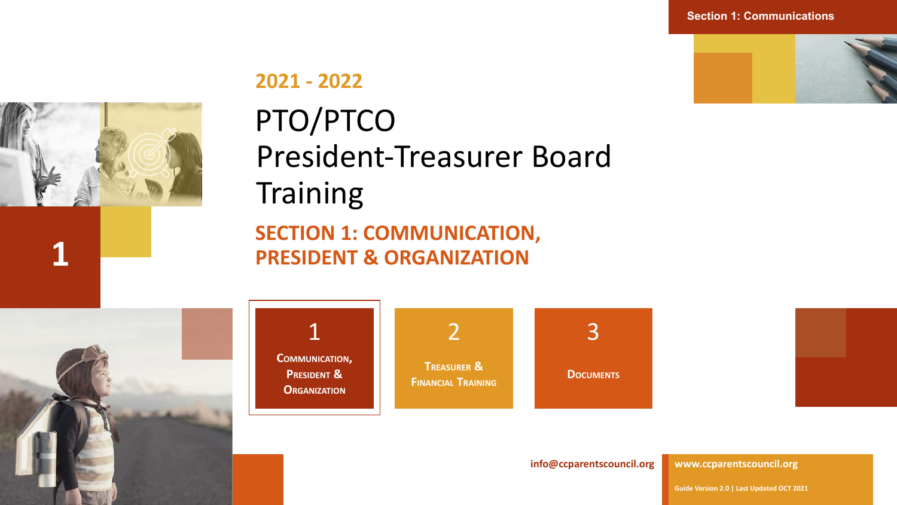

PTO/PTCO President-Treasurer Board **Training SECTION 1: COMMUNICATION,** 

**1 PRESIDENT & ORGANIZATION**





**[info@ccparentscouncil.org](mailto:president@ccparentscouncil.org)**

**[www.ccparentscouncil.org](http://www.ccparentscouncil.org/)**

**Guide Version 2.0 | Last Updated OCT 2021**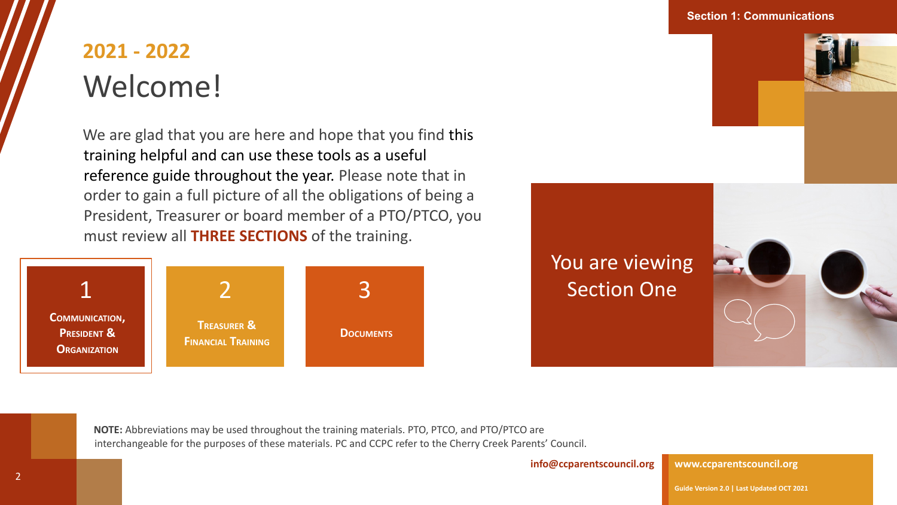## **2021 - 2022** Welcome!

We are glad that you are here and hope that you find this training helpful and can use these tools as a useful reference guide throughout the year. Please note that in order to gain a full picture of all the obligations of being a President, Treasurer or board member of a PTO/PTCO, you must review all **THREE SECTIONS** of the training.





**Section 1: Communications**

You are viewing 3 3 Section One



**NOTE:** Abbreviations may be used throughout the training materials. PTO, PTCO, and PTO/PTCO are interchangeable for the purposes of these materials. PC and CCPC refer to the Cherry Creek Parents' Council.

**[info@ccparentscouncil.org](mailto:president@ccparentscouncil.org)**

**[www.ccparentscouncil.org](http://www.ccparentscouncil.org/)**

**Guide Version 2.0 | Last Updated OCT 2021**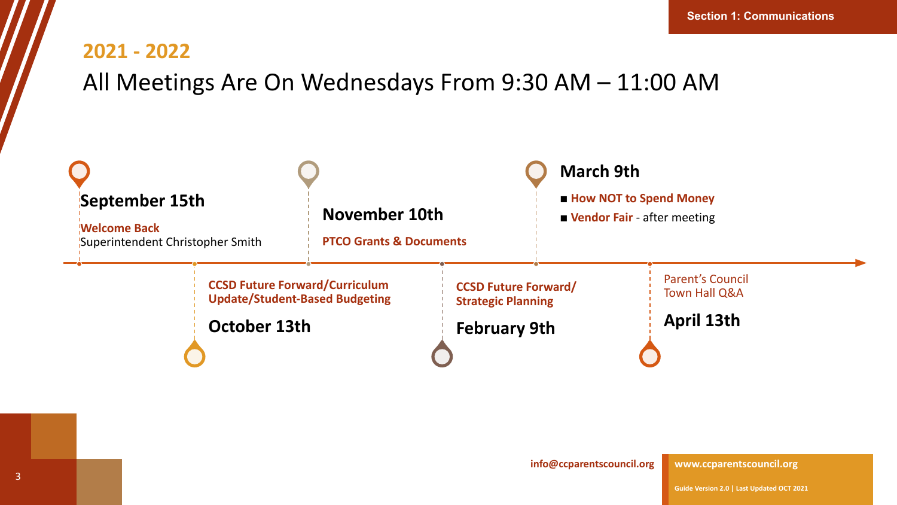### All Meetings Are On Wednesdays From 9:30 AM – 11:00 AM

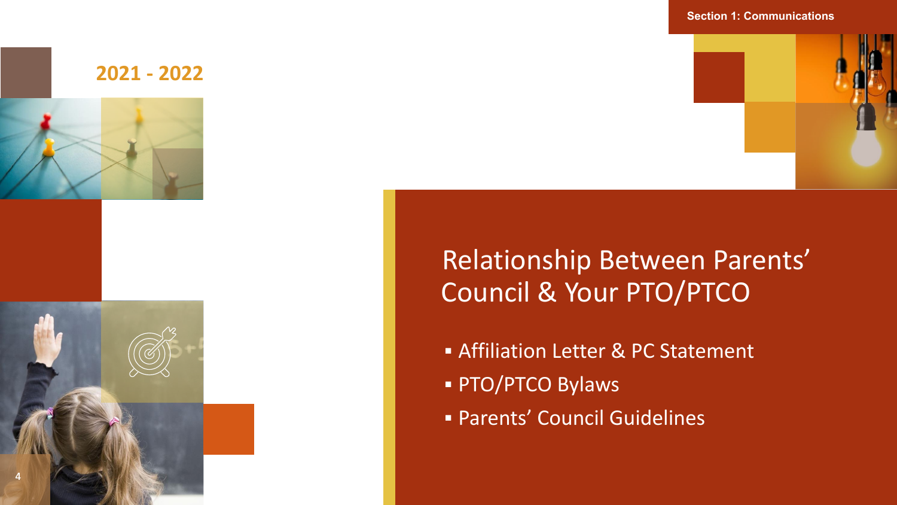

#### **Section 1: Communications**



### Relationship Between Parents' Council & Your PTO/PTCO

- **EXET Affiliation Letter & PC Statement**
- **PTO/PTCO Bylaws**
- **Exercice Council Guidelines**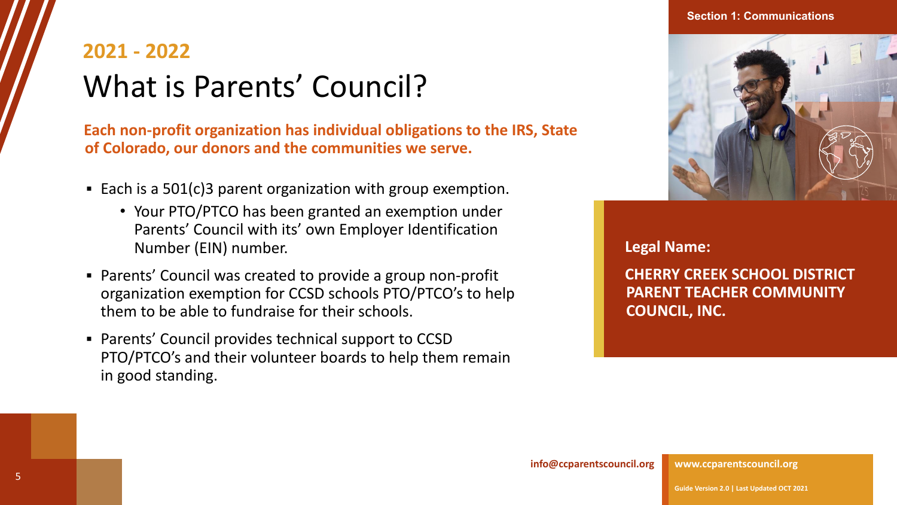#### **Section 1: Communications**

## **2021 - 2022** What is Parents' Council?

**Each non-profit organization has individual obligations to the IRS, State of Colorado, our donors and the communities we serve.**

- Each is a  $501(c)$ 3 parent organization with group exemption.
	- Your PTO/PTCO has been granted an exemption under Parents' Council with its' own Employer Identification Number (EIN) number.
- Parents' Council was created to provide a group non-profit organization exemption for CCSD schools PTO/PTCO's to help them to be able to fundraise for their schools.
- Parents' Council provides technical support to CCSD PTO/PTCO's and their volunteer boards to help them remain in good standing.



**Legal Name:** 

**CHERRY CREEK SCHOOL DISTRICT PARENT TEACHER COMMUNITY COUNCIL, INC.**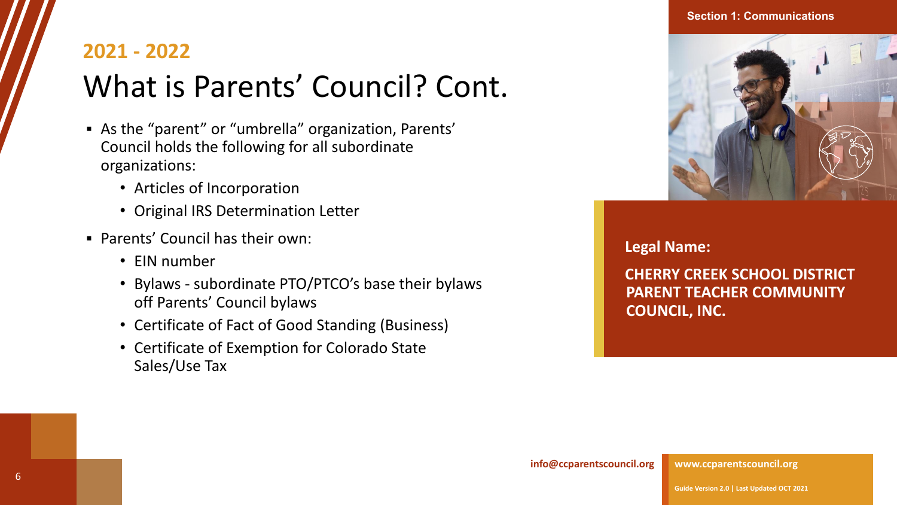# What is Parents' Council? Cont.

- As the "parent" or "umbrella" organization, Parents' Council holds the following for all subordinate organizations:
	- Articles of Incorporation
	- Original IRS Determination Letter
- Parents' Council has their own:
	- EIN number
	- Bylaws subordinate PTO/PTCO's base their bylaws off Parents' Council bylaws
	- Certificate of Fact of Good Standing (Business)
	- Certificate of Exemption for Colorado State Sales/Use Tax



**Legal Name:** 

**CHERRY CREEK SCHOOL DISTRICT PARENT TEACHER COMMUNITY COUNCIL, INC.**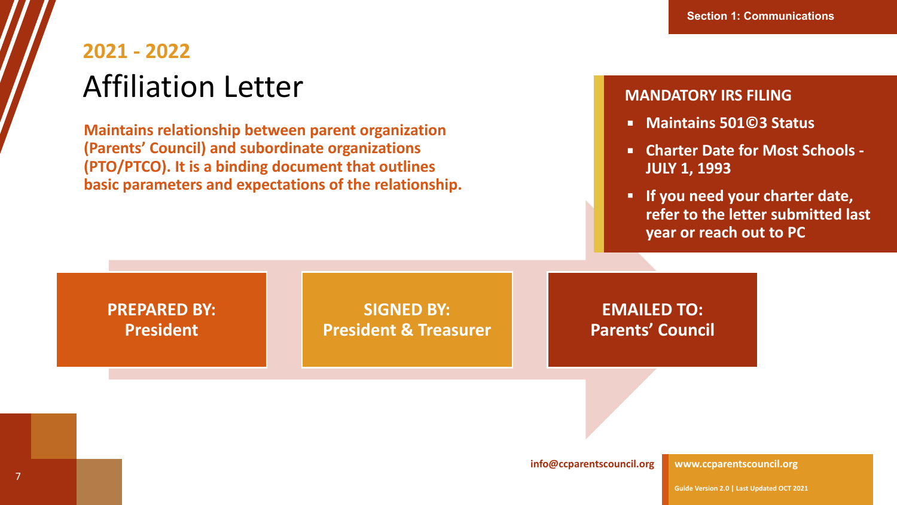## **2021 - 2022** Affiliation Letter

**Maintains relationship between parent organization (Parents' Council) and subordinate organizations (PTO/PTCO). It is a binding document that outlines basic parameters and expectations of the relationship.**

#### **MANDATORY IRS FILING**

- **Maintains 501©3 Status**
- **Charter Date for Most Schools JULY 1, 1993**
- **▪ If you need your charter date, refer to the letter submitted last year or reach out to PC**

### **PREPARED BY: President**

**SIGNED BY: President & Treasurer**

**EMAILED TO: Parents' Council**

**[info@ccparentscouncil.org](mailto:president@ccparentscouncil.org)**

**[www.ccparentscouncil.org](http://www.ccparentscouncil.org/)**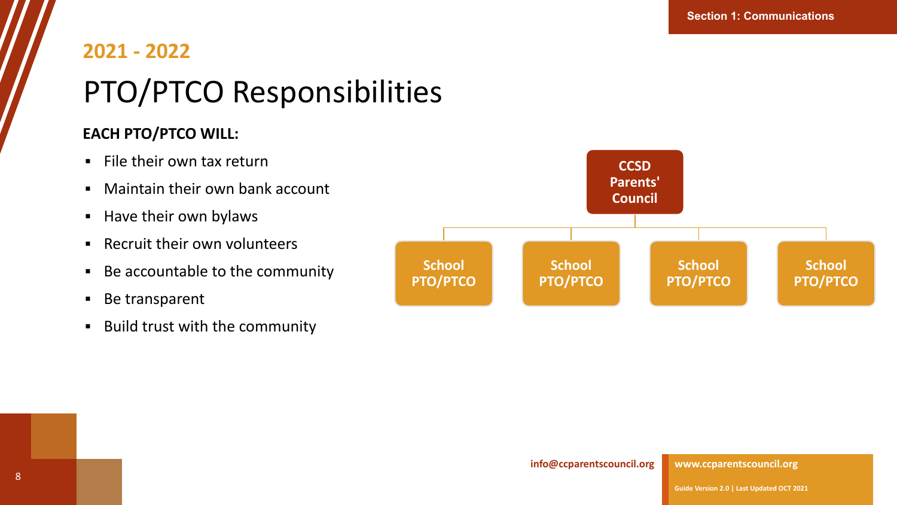# **2021 - 2022** PTO/PTCO Responsibilities

### **EACH PTO/PTCO WILL:**

- $\blacksquare$  File their own tax return
- Maintain their own bank account
- Have their own bylaws
- Recruit their own volunteers
- Be accountable to the community
- Be transparent
- Build trust with the community

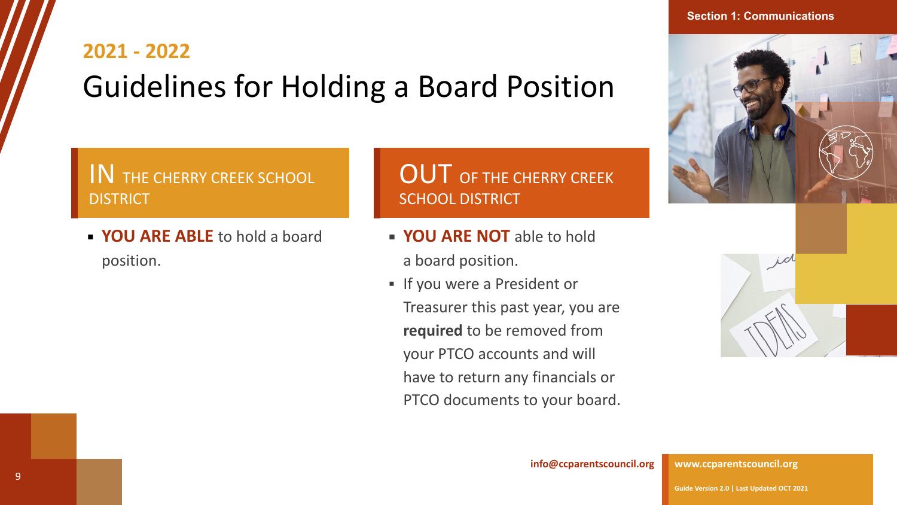# **2021 - 2022** Guidelines for Holding a Board Position

IN THE CHERRY CREEK SCHOOL **DISTRICT** 

**EXAMPLE ABLE to hold a board** position.

### OUT OF THE CHERRY CREEK SCHOOL DISTRICT

- **EXAMPLE AND INCO ARE NOT** able to hold
	- a board position.
- **.** If you were a President or Treasurer this past year, you are **required** to be removed from your PTCO accounts and will have to return any financials or PTCO documents to your board.



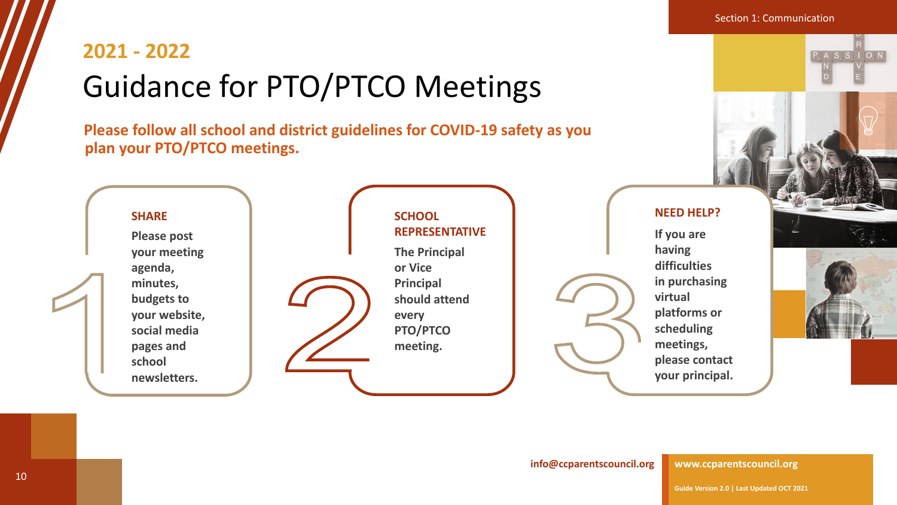## **2021 - 2022** Guidance for PTO/PTCO Meetings

**Please follow all school and district guidelines for COVID-19 safety as you plan your PTO/PTCO meetings.** 



**[www.ccparentscouncil.org](http://www.ccparentscouncil.org/)**

**Section 1: Communication** 

 $P, A, S, S, I, O, N,$ 

**[info@ccparentscouncil.org](mailto:president@ccparentscouncil.org)**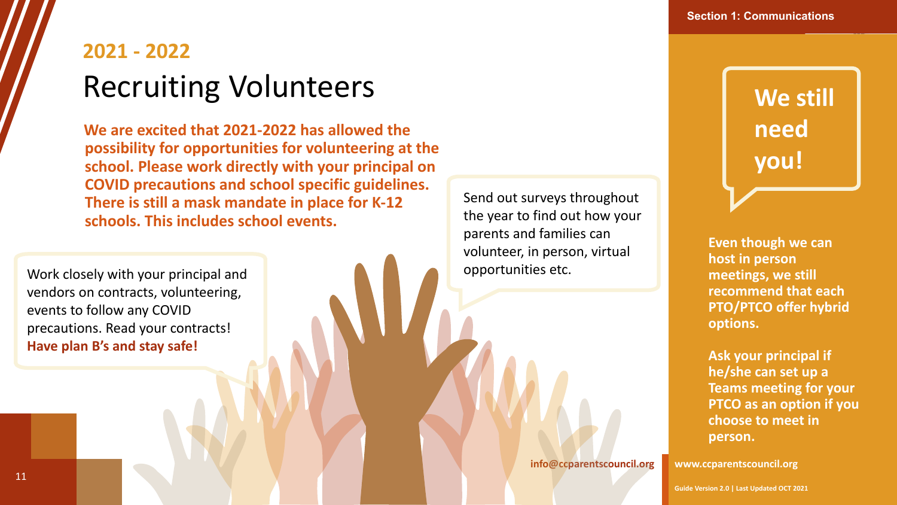## **2021 - 2022** Recruiting Volunteers

**We are excited that 2021-2022 has allowed the possibility for opportunities for volunteering at the school. Please work directly with your principal on COVID precautions and school specific guidelines. There is still a mask mandate in place for K-12 schools. This includes school events.**

Work closely with your principal and vendors on contracts, volunteering, events to follow any COVID precautions. Read your contracts! **Have plan B's and stay safe!**

Send out surveys throughout the year to find out how your parents and families can volunteer, in person, virtual opportunities etc.

**[info@ccparentscouncil.org](mailto:president@ccparentscouncil.org)**

**We still need you!**

**Even though we can host in person meetings, we still recommend that each PTO/PTCO offer hybrid options.** 

**Ask your principal if he/she can set up a Teams meeting for your PTCO as an option if you choose to meet in person.**

**[www.ccparentscouncil.org](http://www.ccparentscouncil.org/)**

**Guide Version 2.0 | Last Updated OCT 2021**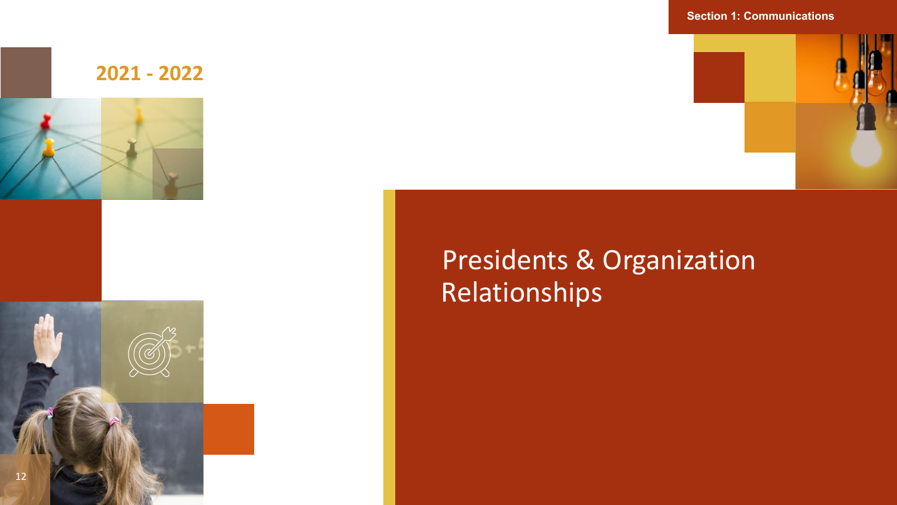

Presidents & Organization Relationships

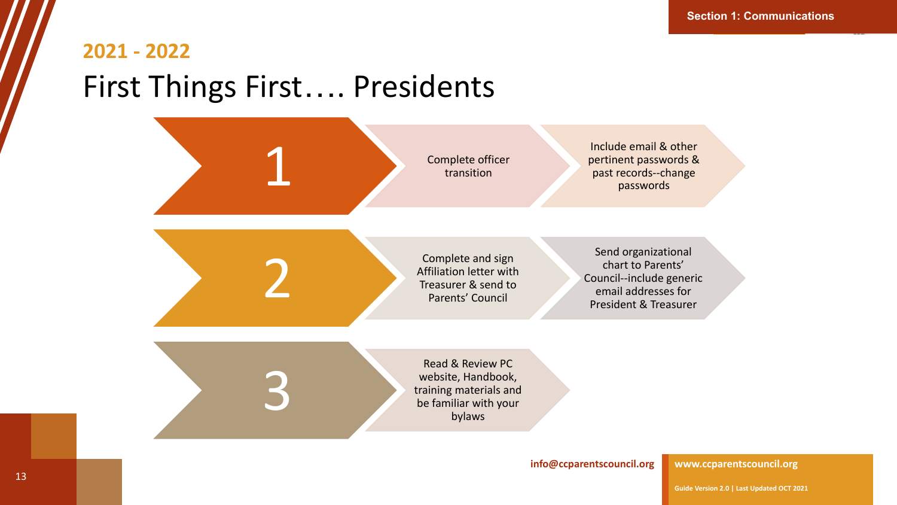### **2021 - 2022** First Things First…. Presidents



#### **[www.ccparentscouncil.org](http://www.ccparentscouncil.org/)**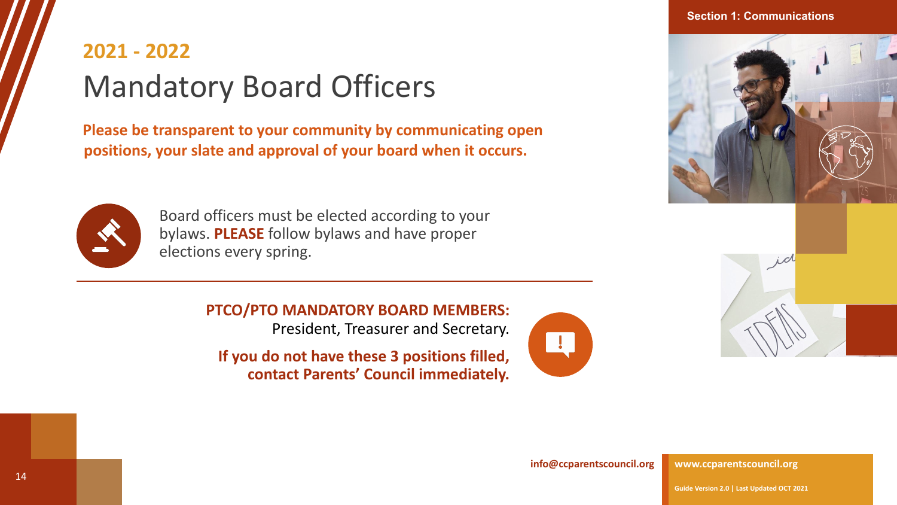#### **Section 1: Communications**

## **2021 - 2022** Mandatory Board Officers

**Please be transparent to your community by communicating open positions, your slate and approval of your board when it occurs.**



Board officers must be elected according to your bylaws. **PLEASE** follow bylaws and have proper elections every spring.

> **PTCO/PTO MANDATORY BOARD MEMBERS:** President, Treasurer and Secretary.

**If you do not have these 3 positions filled, contact Parents' Council immediately.**







**[info@ccparentscouncil.org](mailto:president@ccparentscouncil.org)**

**[www.ccparentscouncil.org](http://www.ccparentscouncil.org/)**

**Guide Version 2.0 | Last Updated OCT 2021**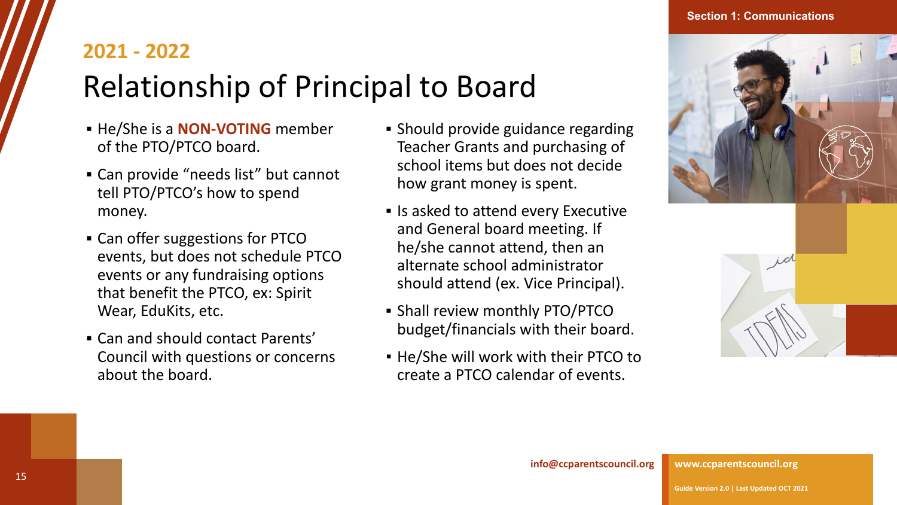# Relationship of Principal to Board

- **EXAMPLE IS A NON-VOTING** member of the PTO/PTCO board.
- Can provide "needs list" but cannot tell PTO/PTCO's how to spend money.
- Can offer suggestions for PTCO events, but does not schedule PTCO events or any fundraising options that benefit the PTCO, ex: Spirit Wear, EduKits, etc.
- Can and should contact Parents' Council with questions or concerns about the board.
- Should provide guidance regarding Teacher Grants and purchasing of school items but does not decide how grant money is spent.
- **Executive** Is asked to attend every Executive and General board meeting. If he/she cannot attend, then an alternate school administrator should attend (ex. Vice Principal).
- **.** Shall review monthly PTO/PTCO budget/financials with their board.
- He/She will work with their PTCO to create a PTCO calendar of events.



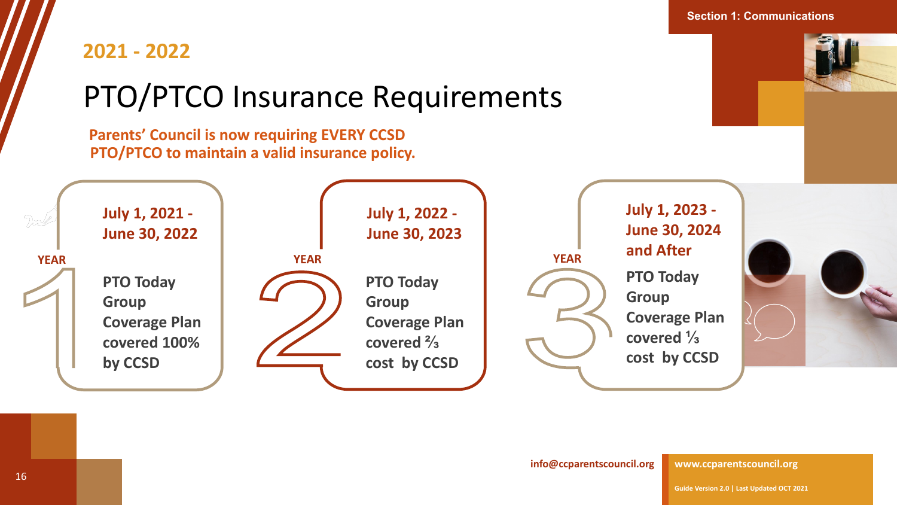# PTO/PTCO Insurance Requirements

**Parents' Council is now requiring EVERY CCSD PTO/PTCO to maintain a valid insurance policy.**



**Section 1: Communications**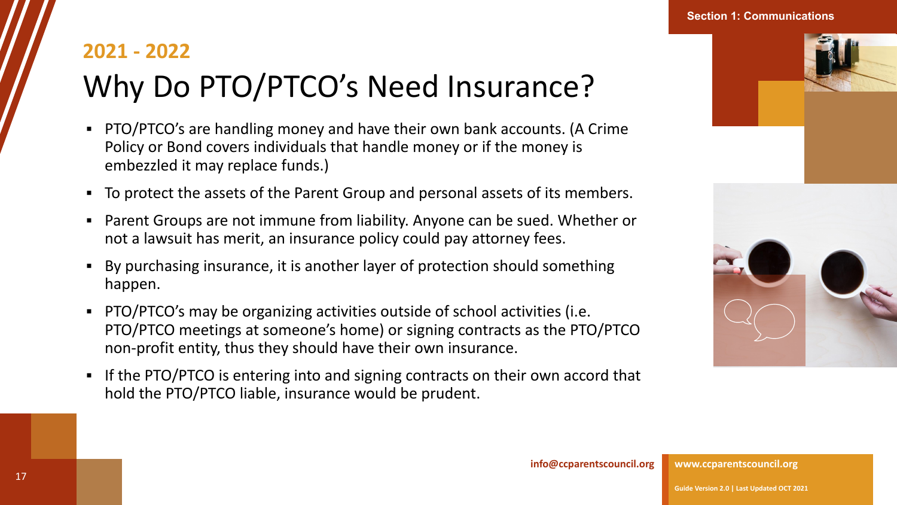# **2021 - 2022** Why Do PTO/PTCO's Need Insurance?

- PTO/PTCO's are handling money and have their own bank accounts. (A Crime Policy or Bond covers individuals that handle money or if the money is embezzled it may replace funds.)
- To protect the assets of the Parent Group and personal assets of its members.
- Parent Groups are not immune from liability. Anyone can be sued. Whether or not a lawsuit has merit, an insurance policy could pay attorney fees.
- By purchasing insurance, it is another layer of protection should something happen.
- PTO/PTCO's may be organizing activities outside of school activities (i.e. PTO/PTCO meetings at someone's home) or signing contracts as the PTO/PTCO non-profit entity, thus they should have their own insurance.
- **.** If the PTO/PTCO is entering into and signing contracts on their own accord that hold the PTO/PTCO liable, insurance would be prudent.



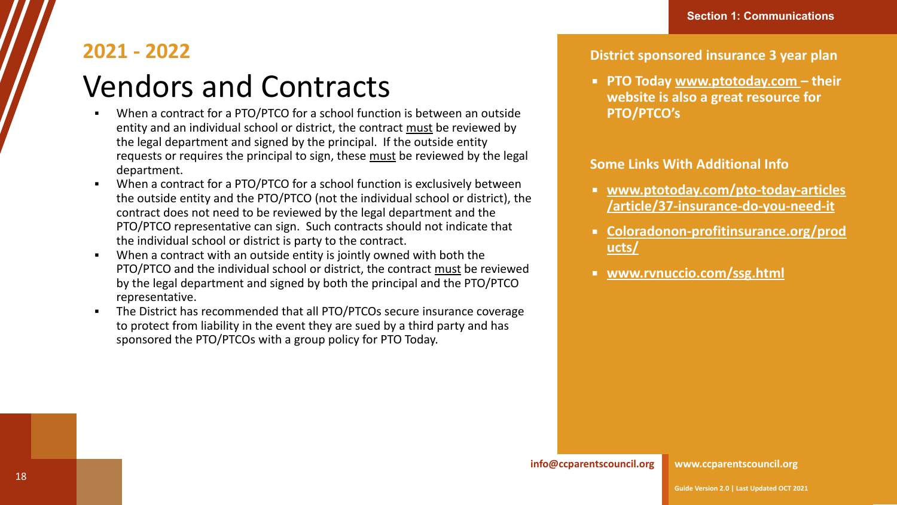# Vendors and Contracts

- When a contract for a PTO/PTCO for a school function is between an outside entity and an individual school or district, the contract must be reviewed by the legal department and signed by the principal. If the outside entity requests or requires the principal to sign, these must be reviewed by the legal department.
- When a contract for a PTO/PTCO for a school function is exclusively between the outside entity and the PTO/PTCO (not the individual school or district), the contract does not need to be reviewed by the legal department and the PTO/PTCO representative can sign. Such contracts should not indicate that the individual school or district is party to the contract.
- When a contract with an outside entity is jointly owned with both the PTO/PTCO and the individual school or district, the contract must be reviewed by the legal department and signed by both the principal and the PTO/PTCO representative.
- The District has recommended that all PTO/PTCOs secure insurance coverage to protect from liability in the event they are sued by a third party and has sponsored the PTO/PTCOs with a group policy for PTO Today.

#### **District sponsored insurance 3 year plan**

▪ **PTO Today [www.ptotoday.com](http://www.ptotoday.com/) – their website is also a great resource for PTO/PTCO's**

#### **Some Links With Additional Info**

- **[www.ptotoday.com/pto-today-articles](http://www.ptotoday.com/pto-today-articles/article/37-insurance-do-you-need-it) [/article/37-insurance-do-you-need-it](http://www.ptotoday.com/pto-today-articles/article/37-insurance-do-you-need-it)**
- **[Coloradonon-profitinsurance.org/prod](http://coloradonon-profitinsurance.org/products/) [ucts/](http://coloradonon-profitinsurance.org/products/)**
- **[www.rvnuccio.com/ssg.html](http://www.rvnuccio.com/ssg.html)**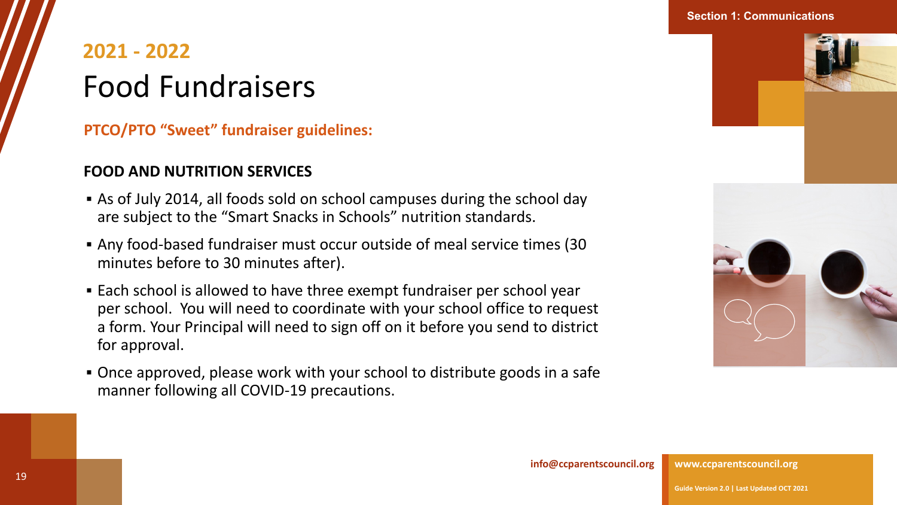## **2021 - 2022** Food Fundraisers

**PTCO/PTO "Sweet" fundraiser guidelines:**

### **FOOD AND NUTRITION SERVICES**

- As of July 2014, all foods sold on school campuses during the school day are subject to the "Smart Snacks in Schools" nutrition standards.
- Any food-based fundraiser must occur outside of meal service times (30 minutes before to 30 minutes after).
- Each school is allowed to have three exempt fundraiser per school year per school. You will need to coordinate with your school office to request a form. Your Principal will need to sign off on it before you send to district for approval.
- Once approved, please work with your school to distribute goods in a safe manner following all COVID-19 precautions.





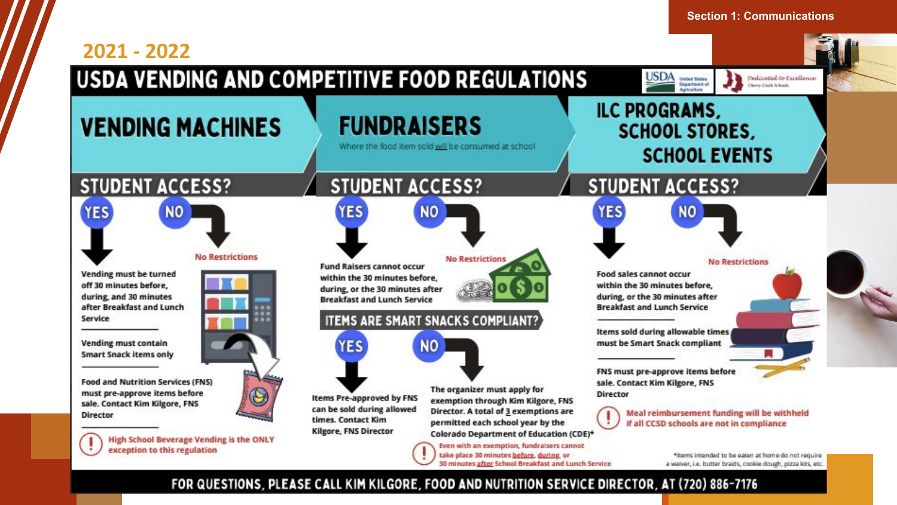#### **Section 1: Communications 2021 - 2022USDA VENDING AND COMPETITIVE FOOD REGULATIONS USDA** Dedicated to Excellence **United States**<br>Dopartment at Chevy Creek Schools **ILC PROGRAMS, FUNDRAISERS VENDING MACHINES SCHOOL STORES,** Where the food item sold will be consumed at school **SCHOOL EVENTS STUDENT ACCESS? STUDENT ACCESS? STUDENT ACCESS? YES YES NO YES NO NO No Restrictions No Restriction No Restrictions Fund Raisers cannot occur** Vending must be turned Food sales cannot occur within the 30 minutes before. off 30 minutes before, within the 30 minutes before. during, or the 30 minutes after during, and 30 minutes during, or the 30 minutes after **Breakfast and Lunch Service** after Breakfast and Lunch **Breakfast and Lunch Service** Service **ITEMS ARE SMART SNACKS COMPLIANT?** Items sold during allowable times **Vending must contain** must be Smart Snack compliant **YES NO Smart Snack items only** FNS must pre-approve items before **Food and Nutrition Services (FNS)** sale. Contact Kim Kilgore, FNS The organizer must apply for must pre-approve items before **Director Items Pre-approved by FNS** exemption through Kim Kilgore, FNS sale. Contact Kim Kilgore, FNS can be sold during allowed Director. A total of 3 exemptions are Meal reimbursement funding will be withheld Director times. Contact Kim permitted each school year by the if all CCSD schools are not in compliance **Kilgore, FNS Director** Colorado Department of Education (CDE)\* **High School Beverage Vending is the ONLY** Even with an exemption, fundraisers cannot exception to this regulation take place 30 minutes before, during, or \*items intended to be eaten at home do not require **30 minutes after School Breakfast and Lunch Service** a waiver, i.e. butter braids, cookie dough, pizza kits, etc.

#### **FOR QUESTIONS, PLEASE CALL KIM KILGORE, FOOD AND NUTRITION SERVICE DIRECTOR, AT (720) 886-7176**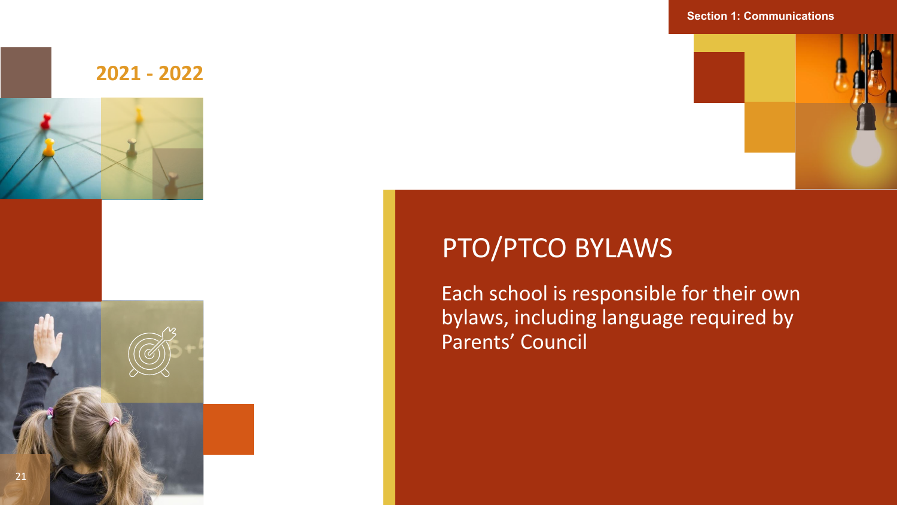

#### **Section 1: Communications**



### PTO/PTCO BYLAWS

Each school is responsible for their own bylaws, including language required by Parents' Council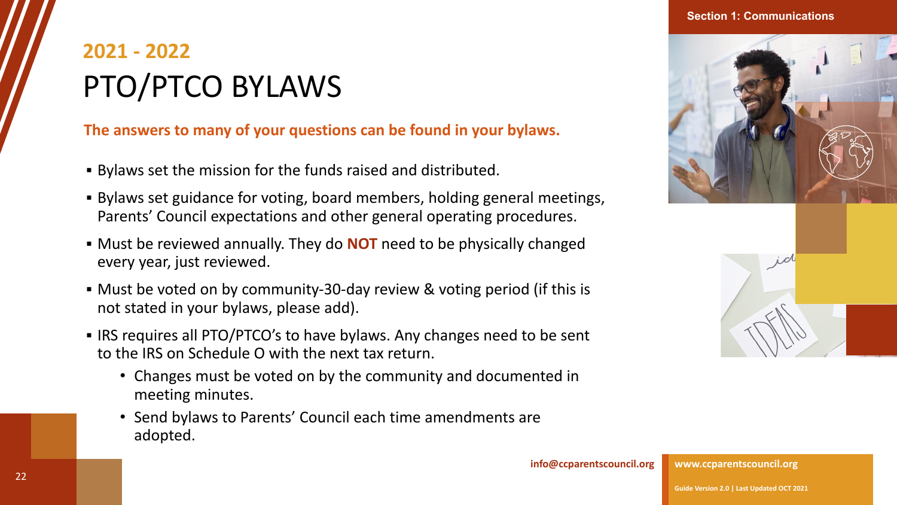## **2021 - 2022** PTO/PTCO BYLAWS

### **The answers to many of your questions can be found in your bylaws.**

- Bylaws set the mission for the funds raised and distributed.
- Bylaws set guidance for voting, board members, holding general meetings, Parents' Council expectations and other general operating procedures.
- Must be reviewed annually. They do **NOT** need to be physically changed every year, just reviewed.
- Must be voted on by community-30-day review & voting period (if this is not stated in your bylaws, please add).
- IRS requires all PTO/PTCO's to have bylaws. Any changes need to be sent to the IRS on Schedule O with the next tax return.
	- Changes must be voted on by the community and documented in meeting minutes.
	- Send bylaws to Parents' Council each time amendments are adopted.



**Section 1: Communications**



**[info@ccparentscouncil.org](mailto:president@ccparentscouncil.org)**

**[www.ccparentscouncil.org](http://www.ccparentscouncil.org/)**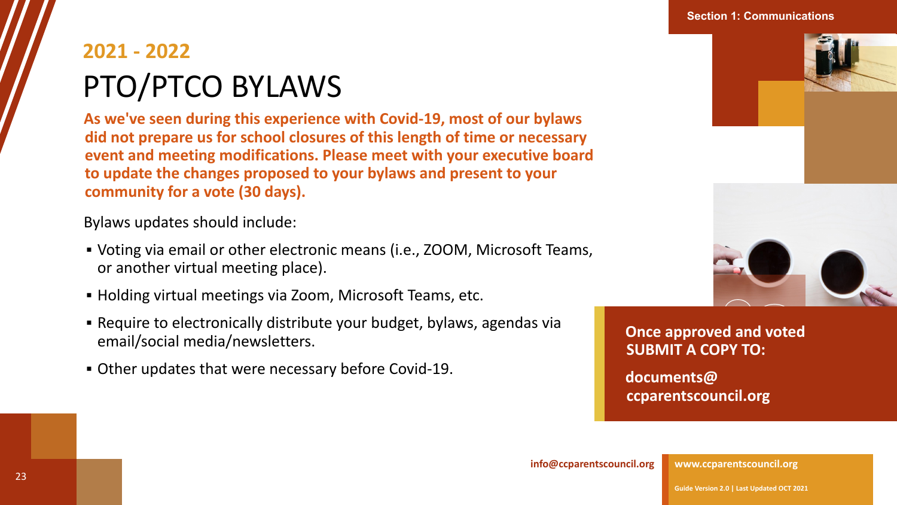#### **Section 1: Communications**

## **2021 - 2022** PTO/PTCO BYLAWS

**As we've seen during this experience with Covid-19, most of our bylaws did not prepare us for school closures of this length of time or necessary event and meeting modifications. Please meet with your executive board to update the changes proposed to your bylaws and present to your community for a vote (30 days).** 

Bylaws updates should include:

- Voting via email or other electronic means (i.e., ZOOM, Microsoft Teams, or another virtual meeting place).
- Holding virtual meetings via Zoom, Microsoft Teams, etc.
- **EXEQUE Require to electronically distribute your budget, bylaws, agendas via** email/social media/newsletters.
- Other updates that were necessary before Covid-19.





**[Once approved and voted](mailto:documents@ccparentscouncil.org)  SUBMIT A COPY TO:**

**documents@ ccparentscouncil.org**

**[info@ccparentscouncil.org](mailto:president@ccparentscouncil.org)**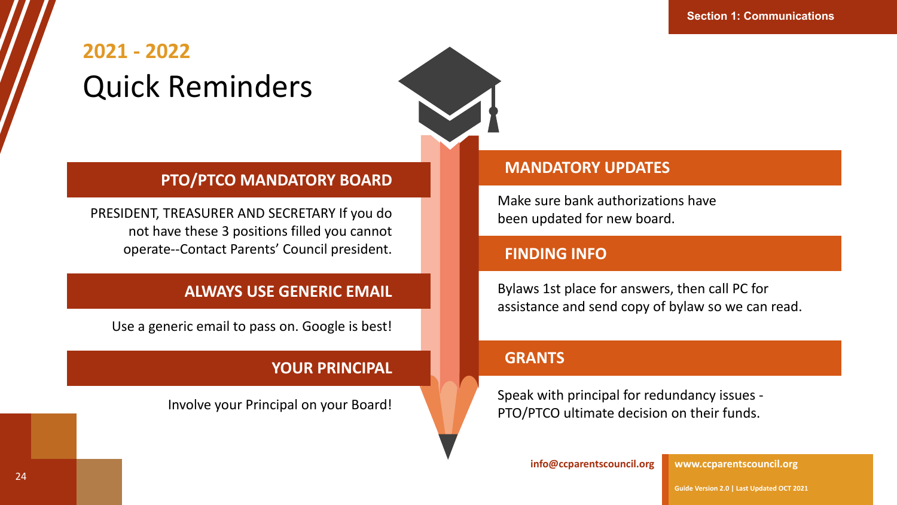## **2021 - 2022** Quick Reminders



#### **PTO/PTCO MANDATORY BOARD**

PRESIDENT, TREASURER AND SECRETARY If you do not have these 3 positions filled you cannot operate--Contact Parents' Council president.

### **ALWAYS USE GENERIC EMAIL**

Use a generic email to pass on. Google is best!

### **YOUR PRINCIPAL**

Involve your Principal on your Board!

#### **MANDATORY UPDATES**

Make sure bank authorizations have been updated for new board.

#### **FINDING INFO**

Bylaws 1st place for answers, then call PC for assistance and send copy of bylaw so we can read.

#### **GRANTS**

Speak with principal for redundancy issues - PTO/PTCO ultimate decision on their funds.

**[info@ccparentscouncil.org](mailto:president@ccparentscouncil.org)**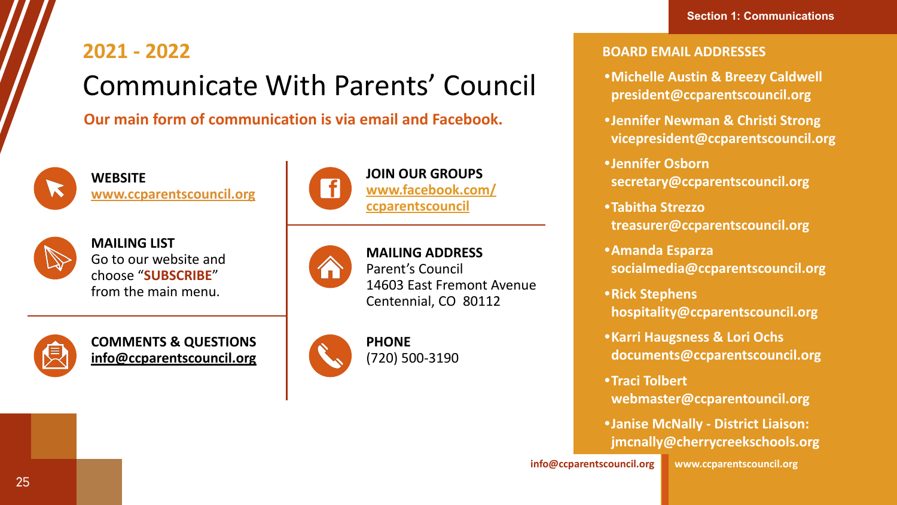# **2021 - 2022** Communicate With Parents' Council

**Our main form of communication is via email and Facebook.**



**WEBSITE [www.ccparentscouncil.org](http://www.ccparentscouncil.org/)**



**MAILING LIST** Go to our website and choose "**SUBSCRIBE**" from the main menu.



**COMMENTS & QUESTIONS [info@ccparentscouncil.org](mailto:info@ccparentscouncil.org)**



### **JOIN OUR GROUPS [www.facebook.com/](http://www.facebook.com/ccparentscouncil) [ccparentscouncil](http://www.facebook.com/ccparentscouncil)**



#### **MAILING ADDRESS** Parent's Council 14603 East Fremont Avenue Centennial, CO 80112



#### **BOARD EMAIL ADDRESSES**

- **•Michelle Austin & Breezy Caldwell president@ccparentscouncil.org**
- **•Jennifer Newman & Christi Strong vicepresident@ccparentscouncil.org**
- **•Jennifer Osborn secretary@ccparentscouncil.org**
- **•Tabitha Strezzo treasurer@ccparentscouncil.org**
- **•Amanda Esparza socialmedia@ccparentscouncil.org**
- **•Rick Stephens hospitality@ccparentscouncil.org**
- **•Karri Haugsness & Lori Ochs documents@ccparentscouncil.org**
- **•Traci Tolbert webmaster@ccparentouncil.org**
- **•Janise McNally District Liaison: jmcnally@cherrycreekschools.org**

**[info@ccparentscouncil.org](mailto:president@ccparentscouncil.org)**

**[www.ccparentscouncil.org](http://www.ccparentscouncil.org/)**